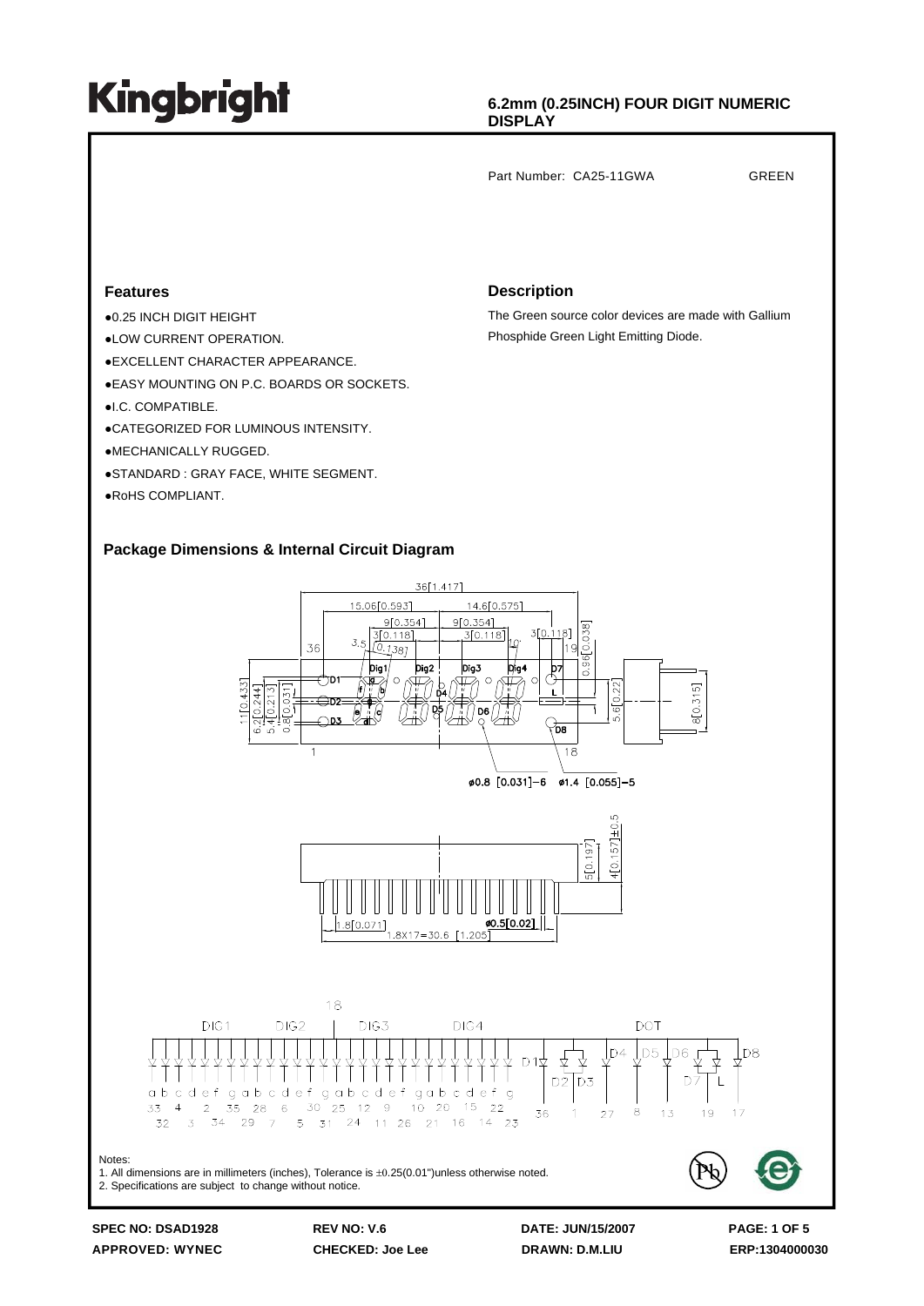### **6.2mm (0.25INCH) FOUR DIGIT NUMERIC DISPLAY**

Part Number: CA25-11GWA GREEN

### **Features**

- ●0.25 INCH DIGIT HEIGHT
- ●LOW CURRENT OPERATION.
- ●EXCELLENT CHARACTER APPEARANCE.
- ●EASY MOUNTING ON P.C. BOARDS OR SOCKETS.
- ●I.C. COMPATIBLE.
- ●CATEGORIZED FOR LUMINOUS INTENSITY.
- ●MECHANICALLY RUGGED.
- ●STANDARD : GRAY FACE, WHITE SEGMENT.
- ●RoHS COMPLIANT.

#### **Description**

The Green source color devices are made with Gallium Phosphide Green Light Emitting Diode.

### **Package Dimensions & Internal Circuit Diagram**



**SPEC NO: DSAD1928 REV NO: V.6 DATE: JUN/15/2007 PAGE: 1 OF 5 APPROVED: WYNEC CHECKED: Joe Lee DRAWN: D.M.LIU ERP:1304000030**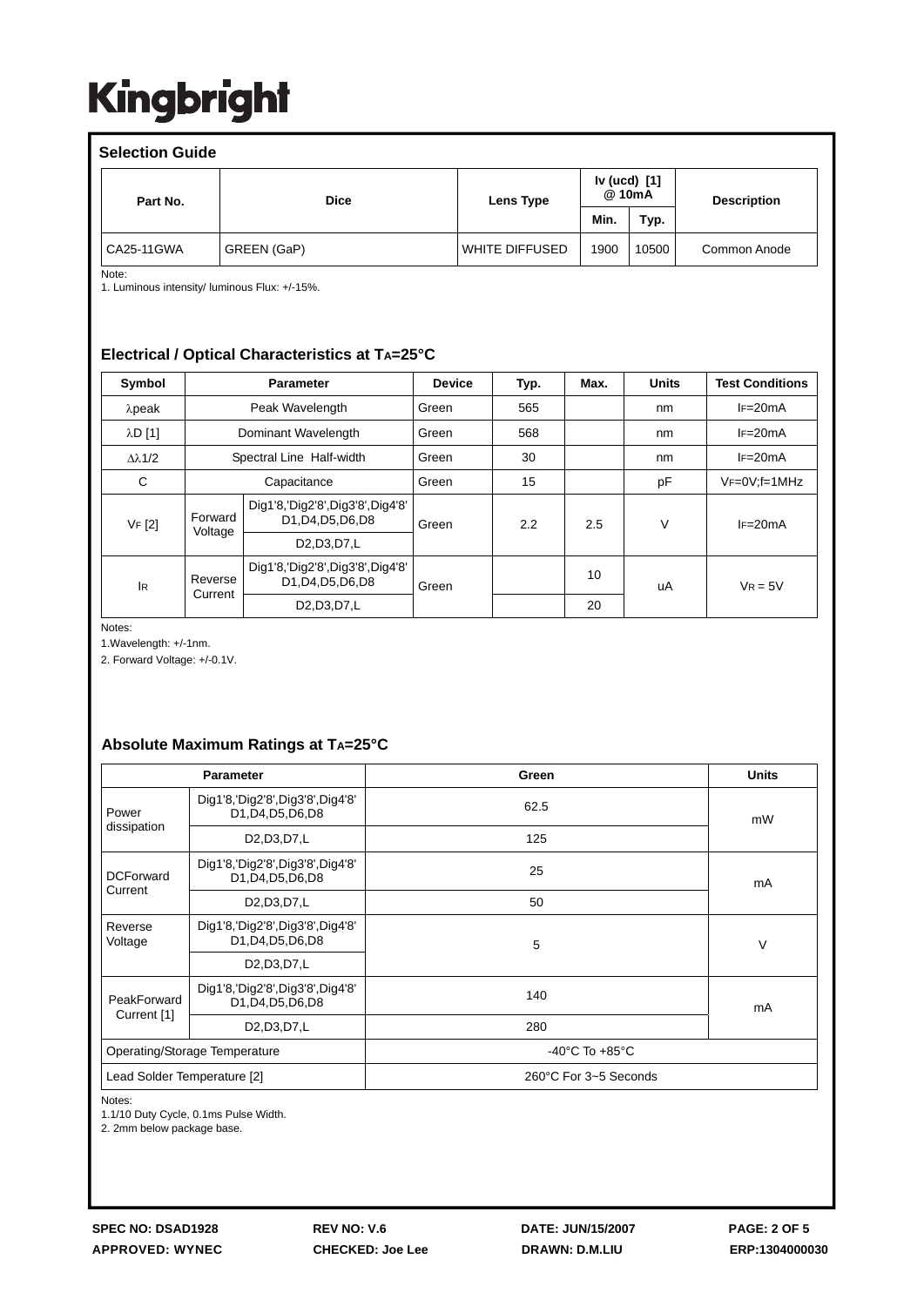| <b>Selection Guide</b> |             |                |                          |       |                    |  |  |
|------------------------|-------------|----------------|--------------------------|-------|--------------------|--|--|
| Part No.               | <b>Dice</b> | Lens Type      | Iv (ucd) $[1]$<br>@ 10mA |       | <b>Description</b> |  |  |
|                        |             |                | Min.                     | Typ.  |                    |  |  |
| CA25-11GWA             | GREEN (GaP) | WHITE DIFFUSED | 1900                     | 10500 | Common Anode       |  |  |

Note:

1. Luminous intensity/ luminous Flux: +/-15%.

### **Electrical / Optical Characteristics at TA=25°C**

| Symbol               |                          | <b>Parameter</b>                                      | <b>Device</b> | Typ. | Max. | <b>Units</b> | <b>Test Conditions</b> |
|----------------------|--------------------------|-------------------------------------------------------|---------------|------|------|--------------|------------------------|
| $\lambda$ peak       | Peak Wavelength          |                                                       | Green         | 565  |      | nm           | $IF=20mA$              |
| $\lambda$ D $[1]$    | Dominant Wavelength      |                                                       | Green         | 568  |      | nm           | $IF=20mA$              |
| $\Delta \lambda$ 1/2 | Spectral Line Half-width |                                                       | Green         | 30   |      | nm           | $IF=20mA$              |
| C                    | Capacitance              |                                                       | Green         | 15   |      | pF           | $VF=0V; f=1MHz$        |
| VF [2]               | Forward<br>Voltage       | Dig1'8,'Dig2'8',Dig3'8',Dig4'8'<br>D1, D4, D5, D6, D8 | Green         | 2.2  | 2.5  | V            | $IF=20mA$              |
|                      |                          | D2, D3, D7, L                                         |               |      |      |              |                        |
| <b>IR</b>            | Reverse<br>Current       | Dig1'8,'Dig2'8',Dig3'8',Dig4'8'<br>D1, D4, D5, D6, D8 | Green         |      | 10   | uA           | $V_R = 5V$             |
|                      |                          | D <sub>2</sub> , D <sub>3</sub> , D <sub>7</sub> , L  |               |      | 20   |              |                        |

Notes:

1.Wavelength: +/-1nm.

2. Forward Voltage: +/-0.1V.

### **Absolute Maximum Ratings at TA=25°C**

| <b>Parameter</b>              |                                                          | Green                              | <b>Units</b> |  |  |
|-------------------------------|----------------------------------------------------------|------------------------------------|--------------|--|--|
| Power<br>dissipation          | Dig1'8,'Dig2'8',Dig3'8',Dig4'8'<br>D1, D4, D5, D6, D8    | 62.5                               | mW           |  |  |
|                               | D <sub>2</sub> , D <sub>3</sub> , D <sub>7</sub> , L     | 125                                |              |  |  |
| <b>DCForward</b><br>Current   | Dig1'8,'Dig2'8',Dig3'8',Dig4'8'<br>D1, D4, D5, D6, D8    | 25                                 | mA           |  |  |
|                               | D <sub>2</sub> , D <sub>3</sub> , D <sub>7</sub> , L     | 50                                 |              |  |  |
| Reverse<br>Voltage            | Dig1'8,'Dig2'8',Dig3'8',Dig4'8'<br>D1, D4, D5, D6, D8    | 5                                  | V            |  |  |
|                               | D <sub>2</sub> , D <sub>3</sub> , D <sub>7</sub> , L     |                                    |              |  |  |
| PeakForward<br>Current [1]    | Dig1'8, 'Dig2'8', Dig3'8', Dig4'8'<br>D1, D4, D5, D6, D8 | 140                                | mA           |  |  |
|                               | D <sub>2</sub> , D <sub>3</sub> , D <sub>7</sub> , L     | 280                                |              |  |  |
| Operating/Storage Temperature |                                                          | $-40^{\circ}$ C To $+85^{\circ}$ C |              |  |  |
| Lead Solder Temperature [2]   |                                                          | 260°C For 3~5 Seconds              |              |  |  |

Notes:

1.1/10 Duty Cycle, 0.1ms Pulse Width.

2. 2mm below package base.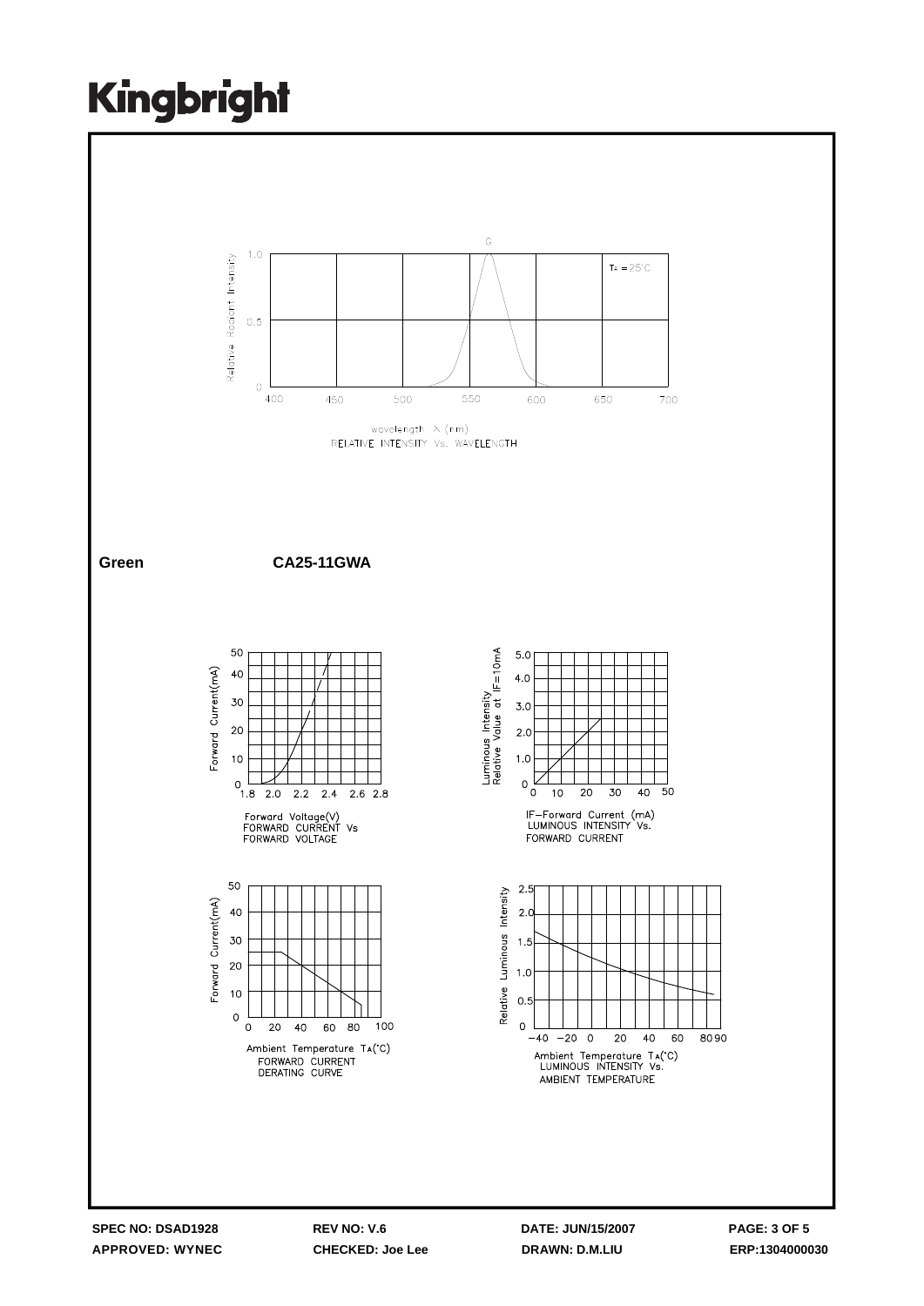

**APPROVED: WYNEC CHECKED: Joe Lee DRAWN: D.M.LIU ERP:1304000030**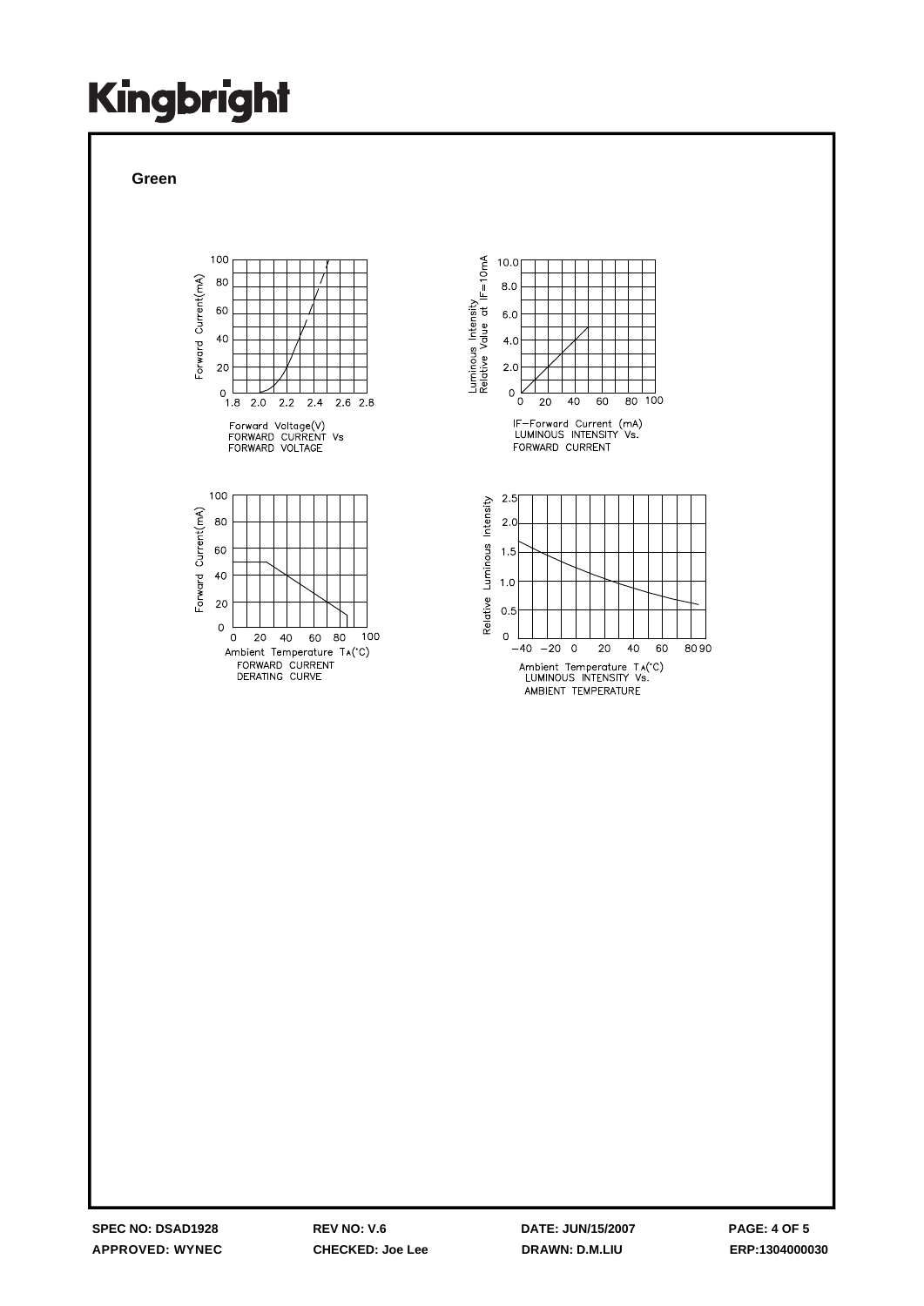**Green**